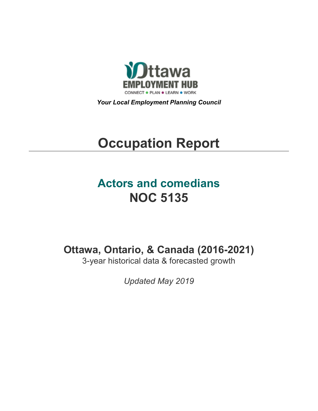

*Your Local Employment Planning Council*

# **Occupation Report**

## **Actors and comedians NOC 5135**

**Ottawa, Ontario, & Canada (2016-2021)**

3-year historical data & forecasted growth

*Updated May 2019*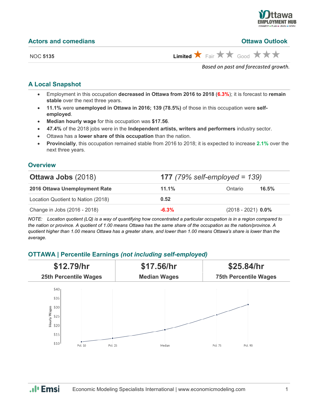

#### **Actors and comedians Ottawa Outlook**

NOC 5135 **Limited**  $\uparrow$  Fair  $\uparrow$   $\uparrow$  Good  $\uparrow$   $\uparrow$   $\uparrow$ 

*Based on past and forecasted growth.*

#### **A Local Snapshot**

- Employment in this occupation **decreased in Ottawa from 2016 to 2018** (**6.3%**); it is forecast to **remain stable** over the next three years.
- **11.1%** were **unemployed in Ottawa in 2016; 139 (78.5%)** of those in this occupation were **selfemployed**.
- **Median hourly wage** for this occupation was **\$17.56**.
- **47.4%** of the 2018 jobs were in the **Independent artists, writers and performers** industry sector.
- Ottawa has a **lower share of this occupation** than the nation.
- **Provincially**, this occupation remained stable from 2016 to 2018; it is expected to increase **2.1%** over the next three years.

#### **Overview**

| <b>Ottawa Jobs (2018)</b>          | <b>177</b> (79% self-employed = 139) |                      |       |
|------------------------------------|--------------------------------------|----------------------|-------|
| 2016 Ottawa Unemployment Rate      | 11.1%                                | Ontario              | 16.5% |
| Location Quotient to Nation (2018) | 0.52                                 |                      |       |
| Change in Jobs (2016 - 2018)       | $-6.3%$                              | $(2018 - 2021)$ 0.0% |       |

*NOTE: Location quotient (LQ) is a way of quantifying how concentrated a particular occupation is in a region compared to the nation or province. A quotient of 1.00 means Ottawa has the same share of the occupation as the nation/province. A quotient higher than 1.00 means Ottawa has a greater share, and lower than 1.00 means Ottawa's share is lower than the average.*

#### **OTTAWA | Percentile Earnings** *(not including self-employed)*



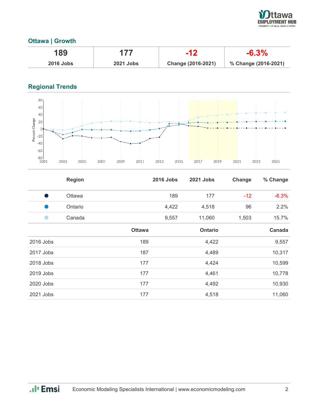

#### **Ottawa | Growth**

| 189              | 177              |                    | $-6.3\%$             |
|------------------|------------------|--------------------|----------------------|
| <b>2016 Jobs</b> | <b>2021 Jobs</b> | Change (2016-2021) | % Change (2016-2021) |

### **Regional Trends**



|           | <b>Region</b> |               | <b>2016 Jobs</b> | <b>2021 Jobs</b> | Change | % Change |
|-----------|---------------|---------------|------------------|------------------|--------|----------|
| - 1       | Ottawa        |               | 189              | 177              | $-12$  | $-6.3%$  |
| a k       | Ontario       |               | 4,422            | 4,518            | 96     | 2.2%     |
|           | Canada        |               | 9,557            | 11,060           | 1,503  | 15.7%    |
|           |               | <b>Ottawa</b> |                  | <b>Ontario</b>   |        | Canada   |
| 2016 Jobs |               | 189           |                  | 4,422            |        | 9,557    |
| 2017 Jobs |               | 187           |                  | 4,489            |        | 10,317   |
| 2018 Jobs |               | 177           |                  | 4,424            |        | 10,599   |
| 2019 Jobs |               | 177           |                  | 4,461            |        | 10,778   |
| 2020 Jobs |               | 177           |                  | 4,492            |        | 10,930   |
| 2021 Jobs |               | 177           |                  | 4,518            |        | 11,060   |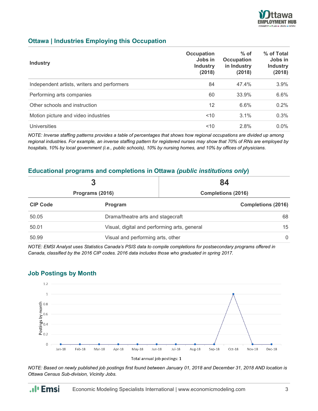

#### **Ottawa | Industries Employing this Occupation**

| <b>Industry</b>                             | Occupation<br>Jobs in<br><b>Industry</b><br>(2018) | $%$ of<br><b>Occupation</b><br>in Industry<br>(2018) | % of Total<br>Jobs in<br><b>Industry</b><br>(2018) |
|---------------------------------------------|----------------------------------------------------|------------------------------------------------------|----------------------------------------------------|
| Independent artists, writers and performers | 84                                                 | 47.4%                                                | 3.9%                                               |
| Performing arts companies                   | 60                                                 | 33.9%                                                | 6.6%                                               |
| Other schools and instruction               | 12                                                 | 6.6%                                                 | $0.2\%$                                            |
| Motion picture and video industries         | ~10                                                | 3.1%                                                 | 0.3%                                               |
| <b>Universities</b>                         | ~10                                                | 2.8%                                                 | $0.0\%$                                            |

*NOTE: Inverse staffing patterns provides a table of percentages that shows how regional occupations are divided up among regional industries. For example, an inverse staffing pattern for registered nurses may show that 70% of RNs are employed by hospitals, 10% by local government (i.e., public schools), 10% by nursing homes, and 10% by offices of physicians.*

#### **Educational programs and completions in Ottawa** *(public institutions only***)**

|                 | 3                                                  | 84                        |  |
|-----------------|----------------------------------------------------|---------------------------|--|
| Programs (2016) |                                                    | <b>Completions (2016)</b> |  |
| <b>CIP Code</b> | Program                                            | <b>Completions (2016)</b> |  |
| 50.05           | Drama/theatre arts and stagecraft<br>68            |                           |  |
| 50.01           | 15<br>Visual, digital and performing arts, general |                           |  |
| 50.99           | Visual and performing arts, other                  | $\Omega$                  |  |

*NOTE: EMSI Analyst uses Statistics Canada's PSIS data to compile completions for postsecondary programs offered in Canada, classified by the 2016 CIP codes. 2016 data includes those who graduated in spring 2017.*

#### **Job Postings by Month**

.**.**I<sub>I</sub> Emsi



*NOTE: Based on newly published job postings first found between January 01, 2018 and December 31, 2018 AND location is Ottawa Census Sub-division, Vicinity Jobs.*